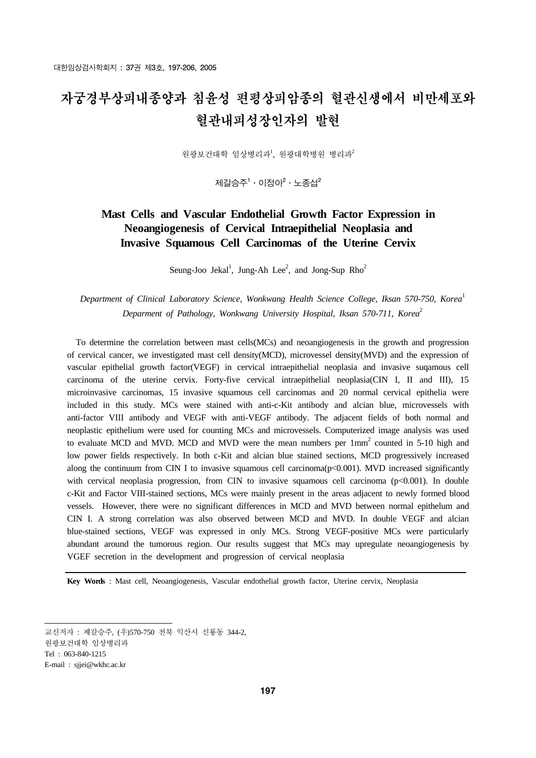# 자궁경부상피내종양과 침윤성 편평상피암종의 혈관신생에서 비만세포와 혈관내피성장인자의 발현

원광보건대학 임상병리과<sup>1</sup>, 원광대학병원 병리과<sup>2</sup>

제갈승주 $1 \cdot$  이정아 $^2 \cdot$  노종섭 $^2$ 

# **Mast Cells and Vascular Endothelial Growth Factor Expression in Neoangiogenesis of Cervical Intraepithelial Neoplasia and Invasive Squamous Cell Carcinomas of the Uterine Cervix**

Seung-Joo Jekal<sup>1</sup>, Jung-Ah Lee<sup>2</sup>, and Jong-Sup  $Rho<sup>2</sup>$ 

*Department of Clinical Laboratory Science, Wonkwang Health Science College, Iksan 570-750, Korea*<sup>1</sup> *Deparment of Pathology, Wonkwang University Hospital, Iksan 570-711, Korea*<sup>2</sup>

 To determine the correlation between mast cells(MCs) and neoangiogenesis in the growth and progression of cervical cancer, we investigated mast cell density(MCD), microvessel density(MVD) and the expression of vascular epithelial growth factor(VEGF) in cervical intraepithelial neoplasia and invasive suqamous cell carcinoma of the uterine cervix. Forty-five cervical intraepithelial neoplasia(CIN I, II and III), 15 microinvasive carcinomas, 15 invasive squamous cell carcinomas and 20 normal cervical epithelia were included in this study. MCs were stained with anti-c-Kit antibody and alcian blue, microvessels with anti-factor VIII antibody and VEGF with anti-VEGF antibody. The adjacent fields of both normal and neoplastic epithelium were used for counting MCs and microvessels. Computerized image analysis was used to evaluate MCD and MVD. MCD and MVD were the mean numbers per  $1mm<sup>2</sup>$  counted in 5-10 high and low power fields respectively. In both c-Kit and alcian blue stained sections, MCD progressively increased along the continuum from CIN I to invasive squamous cell carcinoma( $p<0.001$ ). MVD increased significantly with cervical neoplasia progression, from CIN to invasive squamous cell carcinoma (p<0.001). In double c-Kit and Factor VIII-stained sections, MCs were mainly present in the areas adjacent to newly formed blood vessels. However, there were no significant differences in MCD and MVD between normal epithelum and CIN I. A strong correlation was also observed between MCD and MVD. In double VEGF and alcian blue-stained sections, VEGF was expressed in only MCs. Strong VEGF-positive MCs were particularly abundant around the tumorous region. Our results suggest that MCs may upregulate neoangiogenesis by VGEF secretion in the development and progression of cervical neoplasia

**Key Words** : Mast cell, Neoangiogenesis, Vascular endothelial growth factor, Uterine cervix, Neoplasia

교신저자 : 제갈승주, (우)570-750 전북 익산시 신룡동 344-2, 원광보건대학 임상병리과 Tel : 063-840-1215 E-mail : sjjei@wkhc.ac.kr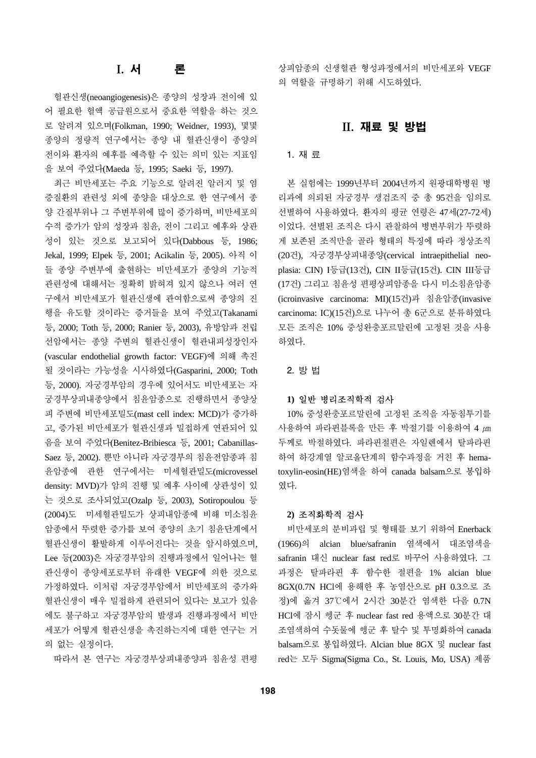# I. 서 론

혈관신생(neoangiogenesis)은 종양의 성장과 전이에 있 어 필요한 혈액 공급원으로서 중요한 역할을 하는 것으 로 알려져 있으며(Folkman, 1990; Weidner, 1993), 몇몇 종양의 정량적 연구에서는 종양 내 혈관신생이 종양의 전이와 환자의 예후를 예측할 수 있는 의미 있는 지표임 을 보여 주었다(Maeda 등, 1995; Saeki 등, 1997).

최근 비만세포는 주요 기능으로 알려진 알러지 및 염 증질환의 관련성 외에 종양을 대상으로 한 연구에서 종 양 간질부위나 그 주변부위에 많이 증가하며, 비만세포의 수적 증가가 암의 성장과 침윤, 전이 그리고 예후와 상관 성이 있는 것으로 보고되어 있다(Dabbous 등, 1986; Jekal, 1999; Elpek 등, 2001; Acikalin 등, 2005). 아직 이 들 종양 주변부에 출현하는 비만세포가 종양의 기능적 관련성에 대해서는 정확히 밝혀져 있지 않으나 여러 연 구에서 비만세포가 혈관신생에 관여함으로써 종양의 진 행을 유도할 것이라는 증거들을 보여 주었고(Takanami 등, 2000; Toth 등, 2000; Ranier 등, 2003), 유방암과 전립 선암에서는 종양 주변의 혈관신생이 혈관내피성장인자 (vascular endothelial growth factor: VEGF)에 의해 촉진 될 것이라는 가능성을 시사하였다(Gasparini, 2000; Toth 등, 2000). 자궁경부암의 경우에 있어서도 비만세포는 자 궁경부상피내종양에서 침윤암종으로 진행하면서 종양상 피 주변에 비만세포밀도(mast cell index: MCD)가 증가하 고, 증가된 비만세포가 혈관신생과 밀접하게 연관되어 있 음을 보여 주었다(Benitez-Bribiesca 등, 2001; Cabanillas-Saez 등, 2002). 뿐만 아니라 자궁경부의 침윤전암종과 침 윤암종에 관한 연구에서는 미세혈관밀도(microvessel density: MVD)가 암의 진행 및 예후 사이에 상관성이 있 는 것으로 조사되었고(Ozalp 등, 2003), Sotiropoulou 등 (2004)도 미세혈관밀도가 상피내암종에 비해 미소침윤 암종에서 뚜렷한 증가를 보여 종양의 초기 침윤단계에서 혈관신생이 활발하게 이루어진다는 것을 암시하였으며, Lee 등(2003)은 자궁경부암의 진행과정에서 일어나는 혈 관신생이 종양세포로부터 유래한 VEGF에 의한 것으로 가정하였다. 이처럼 자궁경부암에서 비만세포의 증가와 혈관신생이 매우 밀접하게 관련되어 있다는 보고가 있음 에도 불구하고 자궁경부암의 발생과 진행과정에서 비만 세포가 어떻게 혈관신생을 촉진하는지에 대한 연구는 거 의 없는 실정이다.

따라서 본 연구는 자궁경부상피내종양과 침윤성 편평

상피암종의 신생혈관 형성과정에서의 비만세포와 VEGF 의 역할을 규명하기 위해 시도하였다.

## II. 재료 및 방법

#### 1. 재 료

본 실험에는 1999년부터 2004년까지 원광대학병원 병 리과에 의뢰된 자궁경부 생검조직 중 총 95건을 임의로 선별하여 사용하였다. 환자의 평균 연령은 47세(27-72세) 이었다. 선별된 조직은 다시 관찰하여 병변부위가 뚜렷하 게 보존된 조직만을 골라 형태의 특징에 따라 정상조직 (20건), 자궁경부상피내종양(cervical intraepithelial neoplasia: CIN) I등급(13건), CIN II등급(15건). CIN III등급 (17건) 그리고 침윤성 편평상피암종을 다시 미소침윤암종 (icroinvasive carcinoma: MI)(15건)과 침윤암종(invasive carcinoma: IC)(15건)으로 나누어 총 6군으로 분류하였다. 모든 조직은 10% 중성완충포르말린에 고정된 것을 사용 하였다.

#### 2. 방 법

#### **1)** 일반 병리조직학적 검사

10% 중성완충포르말린에 고정된 조직을 자동침투기를 사용하여 파라핀블록을 만든 후 박절기를 이용하여 4 *µ*m 두께로 박절하였다. 파라핀절편은 자일렌에서 탈파라핀 하여 하강계열 알코올단계의 함수과정을 거친 후 hematoxylin-eosin(HE)염색을 하여 canada balsam으로 봉입하 였다.

#### **2)** 조직화학적 검사

비만세포의 분비과립 및 형태를 보기 위하여 Enerback (1966)의 alcian blue/safranin 염색에서 대조염색을 safranin 대신 nuclear fast red로 바꾸어 사용하였다. 그 과정은 탈파라핀 후 함수한 절편을 1% alcian blue 8GX(0.7N HCl에 용해한 후 농염산으로 pH 0.3으로 조 정)에 옮겨 37℃에서 2시간 30분간 염색한 다음 0.7N HCl에 잠시 헹군 후 nuclear fast red 용액으로 30분간 대 조염색하여 수돗물에 헹군 후 탈수 및 투명화하여 canada balsam으로 봉입하였다. Alcian blue 8GX 및 nuclear fast red는 모두 Sigma(Sigma Co., St. Louis, Mo, USA) 제품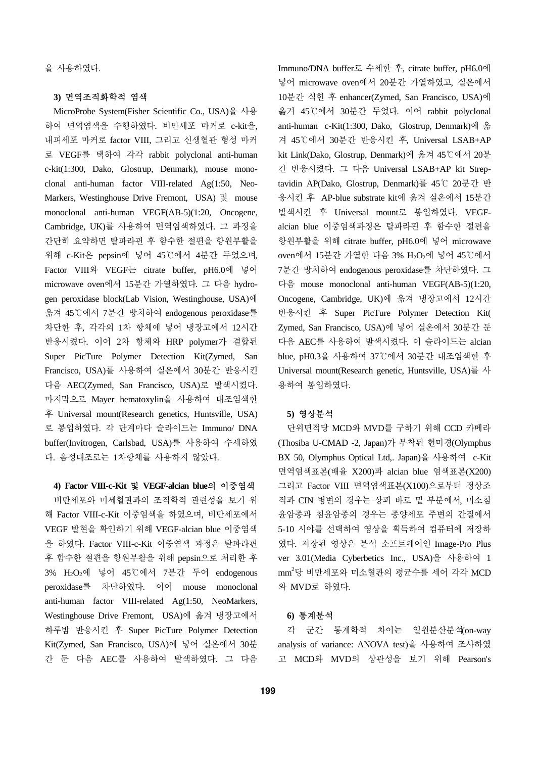을 사용하였다.

### **3)** 면역조직화학적 염색

MicroProbe System(Fisher Scientific Co., USA)을 사용 하여 면역염색을 수행하였다. 비만세포 마커로 c-kit을, 내피세포 마커로 factor VIII, 그리고 신생혈관 형성 마커 로 VEGF를 택하여 각각 rabbit polyclonal anti-human c-kit(1:300, Dako, Glostrup, Denmark), mouse monoclonal anti-human factor VIII-related Ag(1:50, Neo-Markers, Westinghouse Drive Fremont, USA) 및 mouse monoclonal anti-human VEGF(AB-5)(1:20, Oncogene, Cambridge, UK)를 사용하여 면역염색하였다. 그 과정을 간단히 요약하면 탈파라핀 후 함수한 절편을 항원부활을 위해 c-Kit은 pepsin에 넣어 45℃에서 4분간 두었으며, Factor VIII와 VEGF는 citrate buffer, pH6.0에 넣어 microwave oven에서 15분간 가열하였다. 그 다음 hydrogen peroxidase block(Lab Vision, Westinghouse, USA)에 옮겨 45℃에서 7분간 방치하여 endogenous peroxidase를 차단한 후, 각각의 1차 항체에 넣어 냉장고에서 12시간 반응시켰다. 이어 2차 항체와 HRP polymer가 결합된 Super PicTure Polymer Detection Kit(Zymed, San Francisco, USA)를 사용하여 실온에서 30분간 반응시킨 다음 AEC(Zymed, San Francisco, USA)로 발색시켰다. 마지막으로 Mayer hematoxylin을 사용하여 대조염색한 후 Universal mount(Research genetics, Huntsville, USA) 로 봉입하였다. 각 단계마다 슬라이드는 Immuno/ DNA buffer(Invitrogen, Carlsbad, USA)를 사용하여 수세하였 다. 음성대조로는 1차항체를 사용하지 않았다.

#### **4) Factor VIII-c-Kit** 및 **VEGF-alcian blue**의 이중염색

비만세포와 미세혈관과의 조직학적 관련성을 보기 위 해 Factor VIII-c-Kit 이중염색을 하였으며, 비만세포에서 VEGF 발현을 확인하기 위해 VEGF-alcian blue 이중염색 을 하였다. Factor VIII-c-Kit 이중염색 과정은 탈파라핀 후 함수한 절편을 항원부활을 위해 pepsin으로 처리한 후 3% H2O2에 넣어 45℃에서 7분간 두어 endogenous peroxidase를 차단하였다. 이어 mouse monoclonal anti-human factor VIII-related Ag(1:50, NeoMarkers, Westinghouse Drive Fremont, USA)에 옮겨 냉장고에서 하루밤 반응시킨 후 Super PicTure Polymer Detection Kit(Zymed, San Francisco, USA)에 넣어 실온에서 30분 간 둔 다음 AEC를 사용하여 발색하였다. 그 다음

Immuno/DNA buffer로 수세한 후, citrate buffer, pH6.0에 넣어 microwave oven에서 20분간 가열하였고, 실온에서 10분간 식힌 후 enhancer(Zymed, San Francisco, USA)에 옮겨 45℃에서 30분간 두었다. 이어 rabbit polyclonal anti-human c-Kit(1:300, Dako, Glostrup, Denmark)에 옮 겨 45℃에서 30분간 반응시킨 후, Universal LSAB+AP kit Link(Dako, Glostrup, Denmark)에 옮겨 45℃에서 20분 간 반응시켰다. 그 다음 Universal LSAB+AP kit Streptavidin AP(Dako, Glostrup, Denmark)를 45℃ 20분간 반 응시킨 후 AP-blue substrate kit에 옮겨 실온에서 15분간 발색시킨 후 Universal mount로 봉입하였다. VEGFalcian blue 이중염색과정은 탈파라핀 후 함수한 절편을 항원부활을 위해 citrate buffer, pH6.0에 넣어 microwave oven에서 15분간 가열한 다음 3% H<sub>2</sub>O<sub>2</sub>에 넣어 45℃에서 7분간 방치하여 endogenous peroxidase를 차단하였다. 그 다음 mouse monoclonal anti-human VEGF(AB-5)(1:20, Oncogene, Cambridge, UK)에 옮겨 냉장고에서 12시간 반응시킨 후 Super PicTure Polymer Detection Kit( Zymed, San Francisco, USA)에 넣어 실온에서 30분간 둔 다음 AEC를 사용하여 발색시켰다. 이 슬라이드는 alcian blue, pH0.3을 사용하여 37℃에서 30분간 대조염색한 후 Universal mount(Research genetic, Huntsville, USA)를 사 용하여 봉입하였다.

#### **5)** 영상분석

단위면적당 MCD와 MVD를 구하기 위해 CCD 카메라 (Thosiba U-CMAD -2, Japan)가 부착된 현미경(Olymphus BX 50, Olymphus Optical Ltd,. Japan)을 사용하여 c-Kit 면역염색표본(배율 X200)과 alcian blue 염색표본(X200) 그리고 Factor VIII 면역염색표본(X100)으로부터 정상조 직과 CIN 병변의 경우는 상피 바로 밑 부분에서, 미소침 윤암종과 침윤암종의 경우는 종양세포 주변의 간질에서 5-10 시야를 선택하여 영상을 획득하여 컴퓨터에 저장하 였다. 저장된 영상은 분석 소프트웨어인 Image-Pro Plus ver 3.01(Media Cyberbetics Inc., USA)을 사용하여 1 mm<sup>2</sup>당 비만세포와 미소혈관의 평균수를 세어 각각 MCD 와 MVD로 하였다.

### **6)** 통계분석

각 군간 통계학적 차이는 일원분산분석(on-way analysis of variance: ANOVA test)을 사용하여 조사하였 고 MCD와 MVD의 상관성을 보기 위해 Pearson's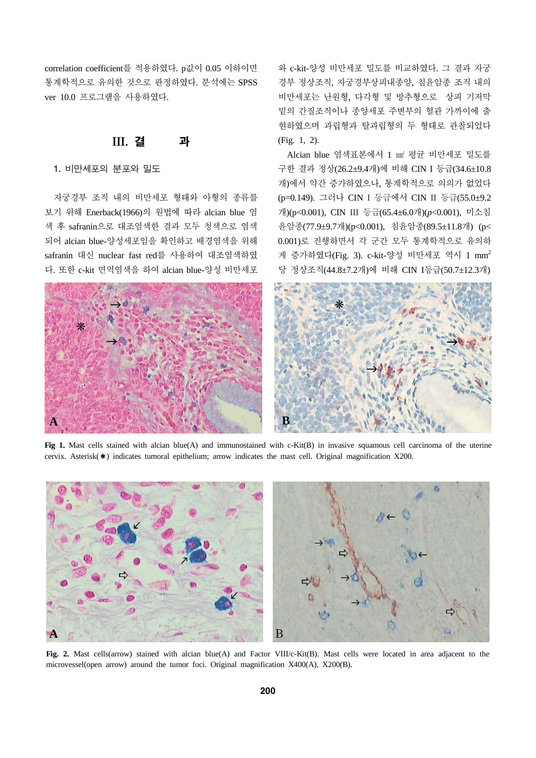correlation coefficient를 적용하였다. p값이 0.05 이하이면 통계학적으로 유의한 것으로 판정하였다. 분석에는 SPSS ver 10.0 프로그램을 사용하였다.

### III. 결 과

#### 1. 비만세포의 분포와 밀도

자궁경부 조직 내의 비만세포 형태와 아형의 종류를 보기 위해 Enerback(1966)의 원법에 따라 alcian blue 염 색 후 safranin으로 대조염색한 결과 모두 청색으로 염색 되어 alcian blue-양성세포임을 확인하고 배경염색을 위해 safranin 대신 nuclear fast red를 사용하여 대조염색하였 다. 또한 c-kit 면역염색을 하여 alcian blue-양성 비만세포

와 c-kit-양성 비만세포 밀도를 비교하였다. 그 결과 자궁 경부 정상조직, 자궁경부상피내종양, 침윤암종 조직 내의 비만세포는 난원형, 다각형 및 방추형으로 상피 기저막 밑의 간질조직이나 종양세포 주변부의 혈관 가까이에 출 현하였으며 과립형과 탈과립형의 두 형태로 관찰되었다 (Fig. 1, 2).

Alcian blue 염색표본에서 1 mi 평균 비만세포 밀도를 구한 결과 정상(26.2±9.4개)에 비해 CIN I 등급(34.6±10.8 개)에서 약간 증가하였으나, 통계학적으로 의의가 없었다 (p=0.149). 그러나 CIN I 등급에서 CIN II 등급(55.0±9.2 개)(p<0.001), CIN III 등급(65.4±6.0개)(*p*<0.001), 미소침 윤암종(77.9±9.7개)(p<0.001), 침윤암종(89.5±11.8개) (p< 0.001)로 진행하면서 각 군간 모두 통계학적으로 유의하 게 증가하였다(Fig. 3). c-kit-양성 비만세포 역시 1 mm2 당 정상조직(44.8±7.2개)에 비해 CIN I등급(50.7±12.3개)



**Fig 1.** Mast cells stained with alcian blue(A) and immunostained with c-Kit(B) in invasive squamous cell carcinoma of the uterine cervix. Asterisk(✱) indicates tumoral epithelium; arrow indicates the mast cell. Original magnification X200.



**Fig. 2.** Mast cells(arrow) stained with alcian blue(A) and Factor VIII/c-Kit(B). Mast cells were located in area adjacent to the microvessel(open arrow) around the tumor foci. Original magnification X400(A), X200(B).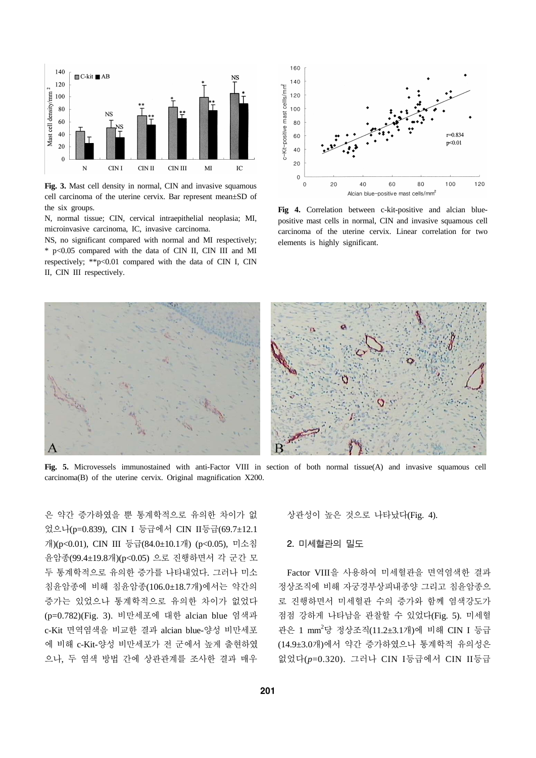

**Fig. 3.** Mast cell density in normal, CIN and invasive squamous cell carcinoma of the uterine cervix. Bar represent mean±SD of the six groups.

N, normal tissue; CIN, cervical intraepithelial neoplasia; MI, microinvasive carcinoma, IC, invasive carcinoma.

NS, no significant compared with normal and MI respectively; \* p<0.05 compared with the data of CIN II, CIN III and MI respectively; \*\*p<0.01 compared with the data of CIN I, CIN II, CIN III respectively.



**Fig 4.** Correlation between c-kit-positive and alcian bluepositive mast cells in normal, CIN and invasive squamous cell carcinoma of the uterine cervix. Linear correlation for two elements is highly significant.



**Fig. 5.** Microvessels immunostained with anti-Factor VIII in section of both normal tissue(A) and invasive squamous cell carcinoma(B) of the uterine cervix. Original magnification X200.

은 약간 증가하였을 뿐 통계학적으로 유의한 차이가 없 었으나(p=0.839), CIN I 등급에서 CIN II등급(69.7±12.1 개)(p<0.01), CIN III 등급(84.0±10.1개) (p<0.05), 미소침 윤암종(99.4±19.8개)(p<0.05) 으로 진행하면서 각 군간 모 두 통계학적으로 유의한 증가를 나타내었다. 그러나 미소 침윤암종에 비해 침윤암종(106.0±18.7개)에서는 약간의 증가는 있었으나 통계학적으로 유의한 차이가 없었다 (p=0.782)(Fig. 3). 비만세포에 대한 alcian blue 염색과 c-Kit 면역염색을 비교한 결과 alcian blue-양성 비만세포 에 비해 c-Kit-양성 비만세포가 전 군에서 높게 출현하였 으나, 두 염색 방법 간에 상관관계를 조사한 결과 매우

상관성이 높은 것으로 나타났다(Fig. 4).

#### 2. 미세혈관의 밀도

Factor VIII을 사용하여 미세혈관을 면역염색한 결과 정상조직에 비해 자궁경부상피내종양 그리고 침윤암종으 로 진행하면서 미세혈관 수의 증가와 함께 염색강도가 점점 강하게 나타남을 관찰할 수 있었다(Fig. 5). 미세혈 관은 1 mm<sup>2</sup>당 정상조직(11.2±3.1개)에 비해 CIN I 등급 (14.9±3.0개)에서 약간 증가하였으나 통계학적 유의성은 없었다(*p*=0.320). 그러나 CIN I등급에서 CIN II등급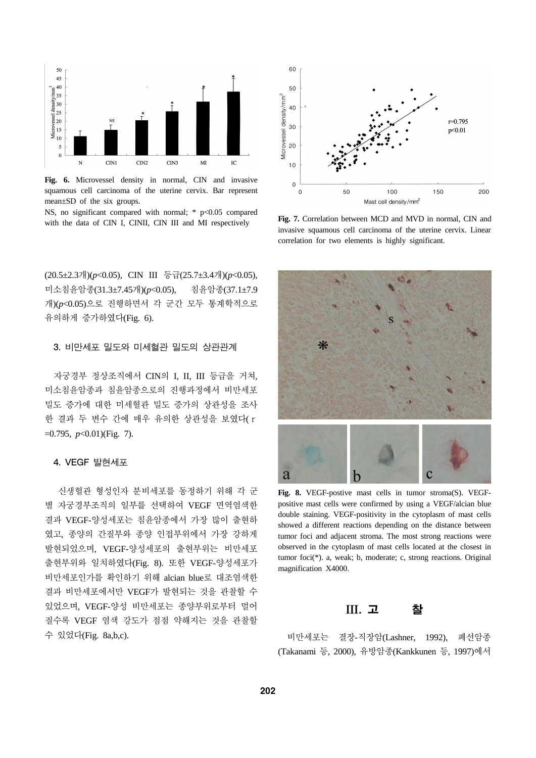

**Fig. 6.** Microvessel density in normal, CIN and invasive squamous cell carcinoma of the uterine cervix. Bar represent mean±SD of the six groups.

NS, no significant compared with normal;  $*$  p<0.05 compared with the data of CIN I, CINII, CIN III and MI respectively

(20.5±2.3개)(*p*<0.05), CIN III 등급(25.7±3.4개)(*p*<0.05), 미소침윤암종(31.3±7.45개)(*p*<0.05), 침윤암종(37.1±7.9 개)(*p*<0.05)으로 진행하면서 각 군간 모두 통계학적으로 유의하게 증가하였다(Fig. 6).

#### 3. 비만세포 밀도와 미세혈관 밀도의 상관관계

자궁경부 정상조직에서 CIN의 I, II, III 등급을 거쳐, 미소침윤암종과 침윤암종으로의 진행과정에서 비만세포 밀도 증가에 대한 미세혈관 밀도 증가의 상관성을 조사 한 결과 두 변수 간에 매우 유의한 상관성을 보였다(r =0.795, *p*<0.01)(Fig. 7).

#### 4. VEGF 발현세포

신생혈관 형성인자 분비세포를 동정하기 위해 각 군 별 자궁경부조직의 일부를 선택하여 VEGF 면역염색한 결과 VEGF-양성세포는 침윤암종에서 가장 많이 출현하 였고, 종양의 간질부와 종양 인접부위에서 가장 강하게 발현되었으며, VEGF-양성세포의 출현부위는 비만세포 출현부위와 일치하였다(Fig. 8). 또한 VEGF-양성세포가 비만세포인가를 확인하기 위해 alcian blue로 대조염색한 결과 비만세포에서만 VEGF가 발현되는 것을 관찰할 수 있었으며, VEGF-양성 비만세포는 종양부위로부터 멀어 질수록 VEGF 염색 강도가 점점 약해지는 것을 관찰할 수 있었다(Fig. 8a,b,c).



**Fig. 7.** Correlation between MCD and MVD in normal, CIN and invasive squamous cell carcinoma of the uterine cervix. Linear correlation for two elements is highly significant.



**Fig. 8.** VEGF-postive mast cells in tumor stroma(S). VEGFpositive mast cells were confirmed by using a VEGF/alcian blue double staining. VEGF-positivity in the cytoplasm of mast cells showed a different reactions depending on the distance between tumor foci and adjacent stroma. The most strong reactions were observed in the cytoplasm of mast cells located at the closest in tumor foci(\*). a, weak; b, moderate; c, strong reactions. Original magnification X4000.

### III. 고 찰

비만세포는 결장-직장암(Lashner, 1992), 폐선암종 (Takanami 등, 2000), 유방암종(Kankkunen 등, 1997)에서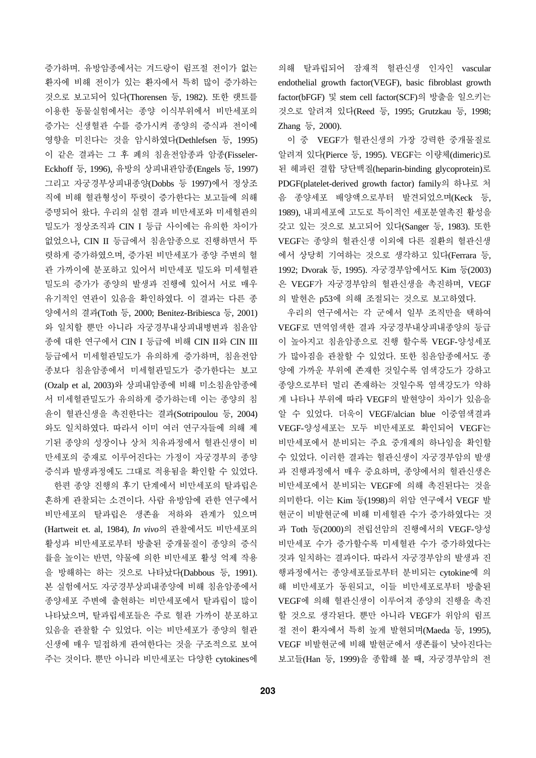증가하며. 유방암종에서는 겨드랑이 림프절 전이가 없는 환자에 비해 전이가 있는 환자에서 특히 많이 증가하는 것으로 보고되어 있다(Thorensen 등, 1982). 또한 랫트를 이용한 동물실험에서는 종양 이식부위에서 비만세포의 증가는 신생혈관 수를 증가시켜 종양의 증식과 전이에 영향을 미친다는 것을 암시하였다(Dethlefsen 등, 1995) 이 같은 결과는 그 후 폐의 침윤전암종과 암종(Fisseler-Eckhoff 등, 1996), 유방의 상피내관암종(Engels 등, 1997) 그리고 자궁경부상피내종양(Dobbs 등 1997)에서 정상조 직에 비해 혈관형성이 뚜렷이 증가한다는 보고들에 의해 증명되어 왔다. 우리의 실험 결과 비만세포와 미세혈관의 밀도가 정상조직과 CIN I 등급 사이에는 유의한 차이가 없었으나, CIN II 등급에서 침윤암종으로 진행하면서 뚜 렷하게 증가하였으며, 증가된 비만세포가 종양 주변의 혈 관 가까이에 분포하고 있어서 비만세포 밀도와 미세혈관 밀도의 증가가 종양의 발생과 진행에 있어서 서로 매우 유기적인 연관이 있음을 확인하였다. 이 결과는 다른 종 양에서의 결과(Toth 등, 2000; Benitez-Bribiesca 등, 2001) 와 일치할 뿐만 아니라 자궁경부내상피내병변과 침윤암 종에 대한 연구에서 CIN I 등급에 비해 CIN II와 CIN III 등급에서 미세혈관밀도가 유의하게 증가하며, 침윤전암 종보다 침윤암종에서 미세혈관밀도가 증가한다는 보고 (Ozalp et al, 2003)와 상피내암종에 비해 미소침윤암종에 서 미세혈관밀도가 유의하게 증가하는데 이는 종양의 침 윤이 혈관신생을 촉진한다는 결과(Sotripoulou 등, 2004) 와도 일치하였다. 따라서 이미 여러 연구자들에 의해 제 기된 종양의 성장이나 상처 치유과정에서 혈관신생이 비 만세포의 중재로 이루어진다는 가정이 자궁경부의 종양 증식과 발생과정에도 그대로 적용됨을 확인할 수 있었다.

한편 종양 진행의 후기 단계에서 비만세포의 탈과립은 흔하게 관찰되는 소견이다. 사람 유방암에 관한 연구에서 비만세포의 탈과립은 생존율 저하와 관계가 있으며 (Hartweit et. al, 1984), *In vivo*의 관찰에서도 비만세포의 활성과 비만세포로부터 방출된 중개물질이 종양의 증식 률을 높이는 반면, 약물에 의한 비만세포 활성 억제 작용 을 방해하는 하는 것으로 나타났다(Dabbous 등, 1991). 본 실험에서도 자궁경부상피내종양에 비해 침윤암종에서 종양세포 주변에 출현하는 비만세포에서 탈과립이 많이 나타났으며, 탈과립세포들은 주로 혈관 가까이 분포하고 있음을 관찰할 수 있었다. 이는 비만세포가 종양의 혈관 신생에 매우 밀접하게 관여한다는 것을 구조적으로 보여 주는 것이다. 뿐만 아니라 비만세포는 다양한 cytokines에

의해 탈과립되어 잠재적 혈관신생 인자인 vascular endothelial growth factor(VEGF), basic fibroblast growth factor(bFGF) 및 stem cell factor(SCF)의 방출을 일으키는 것으로 알려져 있다(Reed 등, 1995; Grutzkau 등, 1998; Zhang 등, 2000).

이 중 VEGF가 혈관신생의 가장 강력한 중개물질로 알려져 있다(Pierce 등, 1995). VEGF는 이량체(dimeric)로 된 헤파린 결합 당단백질(heparin-binding glycoprotein)로 PDGF(platelet-derived growth factor) family의 하나로 처 음 종양세포 배양액으로부터 발견되었으며(Keck 등, 1989), 내피세포에 고도로 특이적인 세포분열촉진 활성을 갖고 있는 것으로 보고되어 있다(Sanger 등, 1983). 또한 VEGF는 종양의 혈관신생 이외에 다른 질환의 혈관신생 에서 상당히 기여하는 것으로 생각하고 있다(Ferrara 등, 1992; Dvorak 등, 1995). 자궁경부암에서도 Kim 등(2003) 은 VEGF가 자궁경부암의 혈관신생을 촉진하며, VEGF 의 발현은 p53에 의해 조절되는 것으로 보고하였다.

우리의 연구에서는 각 군에서 일부 조직만을 택하여 VEGF로 면역염색한 결과 자궁경부내상피내종양의 등급 이 높아지고 침윤암종으로 진행 할수록 VEGF-양성세포 가 많아짐을 관찰할 수 있었다. 또한 침윤암종에서도 종 양에 가까운 부위에 존재한 것일수록 염색강도가 강하고 종양으로부터 멀리 존재하는 것일수록 염색강도가 약하 게 나타나 부위에 따라 VEGF의 발현양이 차이가 있음을 알 수 있었다. 더욱이 VEGF/alcian blue 이중염색결과 VEGF-양성세포는 모두 비만세포로 확인되어 VEGF는 비만세포에서 분비되는 주요 중개제의 하나임을 확인할 수 있었다. 이러한 결과는 혈관신생이 자궁경부암의 발생 과 진행과정에서 매우 중요하며, 종양에서의 혈관신생은 비만세포에서 분비되는 VEGF에 의해 촉진된다는 것을 의미한다. 이는 Kim 등(1998)의 위암 연구에서 VEGF 발 현군이 비발현군에 비해 미세혈관 수가 증가하였다는 것 과 Toth 등(2000)의 전립선암의 진행에서의 VEGF-양성 비만세포 수가 증가할수록 미세혈관 수가 증가하였다는 것과 일치하는 결과이다. 따라서 자궁경부암의 발생과 진 행과정에서는 종양세포들로부터 분비되는 cytokine에 의 해 비만세포가 동원되고, 이들 비만세포로부터 방출된 VEGF에 의해 혈관신생이 이루어져 종양의 진행을 촉진 할 것으로 생각된다. 뿐만 아니라 VEGF가 위암의 림프 절 전이 환자에서 특히 높게 발현되며(Maeda 등, 1995), VEGF 비발현군에 비해 발현군에서 생존률이 낮아진다는 보고들(Han 등, 1999)을 종합해 볼 때, 자궁경부암의 전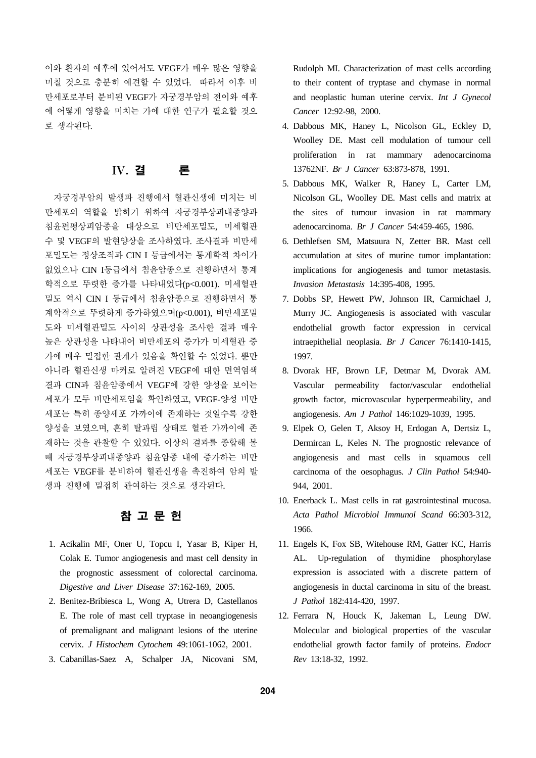이와 환자의 예후에 있어서도 VEGF가 매우 많은 영향을 미칠 것으로 충분히 예견할 수 있었다. 따라서 이후 비 만세포로부터 분비된 VEGF가 자궁경부암의 전이와 예후 에 어떻게 영향을 미치는 가에 대한 연구가 필요할 것으 로 생각된다.

# IV. 결 론

자궁경부암의 발생과 진행에서 혈관신생에 미치는 비 만세포의 역할을 밝히기 위하여 자궁경부상피내종양과 침윤편평상피암종을 대상으로 비만세포밀도, 미세혈관 수 및 VEGF의 발현양상을 조사하였다. 조사결과 비만세 포밀도는 정상조직과 CIN I 등급에서는 통계학적 차이가 없었으나 CIN I등급에서 침윤암종으로 진행하면서 통계 학적으로 뚜렷한 증가를 나타내었다(p<0.001). 미세혈관 밀도 역시 CIN I 등급에서 침윤암종으로 진행하면서 통 계학적으로 뚜렷하게 증가하였으며(p<0.001), 비만세포밀 도와 미세혈관밀도 사이의 상관성을 조사한 결과 매우 높은 상관성을 나타내어 비만세포의 증가가 미세혈관 증 가에 매우 밀접한 관계가 있음을 확인할 수 있었다. 뿐만 아니라 혈관신생 마커로 알려진 VEGF에 대한 면역염색 결과 CIN과 침윤암종에서 VEGF에 강한 양성을 보이는 세포가 모두 비만세포임을 확인하였고, VEGF-양성 비만 세포는 특히 종양세포 가까이에 존재하는 것일수록 강한 양성을 보였으며, 흔히 탈과립 상태로 혈관 가까이에 존 재하는 것을 관찰할 수 있었다. 이상의 결과를 종합해 볼 때 자궁경부상피내종양과 침윤암종 내에 증가하는 비만 세포는 VEGF를 분비하여 혈관신생을 촉진하여 암의 발 생과 진행에 밀접히 관여하는 것으로 생각된다.

# 참 고 문 헌

- 1. Acikalin MF, Oner U, Topcu I, Yasar B, Kiper H, Colak E. Tumor angiogenesis and mast cell density in the prognostic assessment of colorectal carcinoma. *Digestive and Liver Disease* 37:162-169, 2005.
- 2. Benitez-Bribiesca L, Wong A, Utrera D, Castellanos E. The role of mast cell tryptase in neoangiogenesis of premalignant and malignant lesions of the uterine cervix. *J Histochem Cytochem* 49:1061-1062, 2001.
- 3. Cabanillas-Saez A, Schalper JA, Nicovani SM,

Rudolph MI. Characterization of mast cells according to their content of tryptase and chymase in normal and neoplastic human uterine cervix. *Int J Gynecol Cancer* 12:92-98, 2000.

- 4. Dabbous MK, Haney L, Nicolson GL, Eckley D, Woolley DE. Mast cell modulation of tumour cell proliferation in rat mammary adenocarcinoma 13762NF. *Br J Cancer* 63:873-878, 1991.
- 5. Dabbous MK, Walker R, Haney L, Carter LM, Nicolson GL, Woolley DE. Mast cells and matrix at the sites of tumour invasion in rat mammary adenocarcinoma. *Br J Cancer* 54:459-465, 1986.
- 6. Dethlefsen SM, Matsuura N, Zetter BR. Mast cell accumulation at sites of murine tumor implantation: implications for angiogenesis and tumor metastasis. *Invasion Metastasis* 14:395-408, 1995.
- 7. Dobbs SP, Hewett PW, Johnson IR, Carmichael J, Murry JC. Angiogenesis is associated with vascular endothelial growth factor expression in cervical intraepithelial neoplasia. *Br J Cancer* 76:1410-1415, 1997.
- 8. Dvorak HF, Brown LF, Detmar M, Dvorak AM. Vascular permeability factor/vascular endothelial growth factor, microvascular hyperpermeability, and angiogenesis. *Am J Pathol* 146:1029-1039, 1995.
- 9. Elpek O, Gelen T, Aksoy H, Erdogan A, Dertsiz L, Dermircan L, Keles N. The prognostic relevance of angiogenesis and mast cells in squamous cell carcinoma of the oesophagus. *J Clin Pathol* 54:940- 944, 2001.
- 10. Enerback L. Mast cells in rat gastrointestinal mucosa. *Acta Pathol Microbiol Immunol Scand* 66:303-312, 1966.
- 11. Engels K, Fox SB, Witehouse RM, Gatter KC, Harris AL. Up-regulation of thymidine phosphorylase expression is associated with a discrete pattern of angiogenesis in ductal carcinoma in situ of the breast. *J Pathol* 182:414-420, 1997.
- 12. Ferrara N, Houck K, Jakeman L, Leung DW. Molecular and biological properties of the vascular endothelial growth factor family of proteins. *Endocr Rev* 13:18-32, 1992.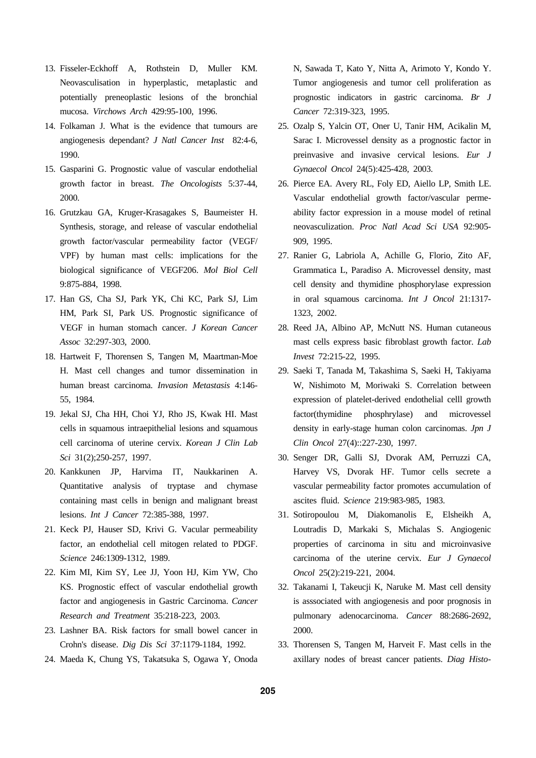- 13. Fisseler-Eckhoff A, Rothstein D, Muller KM. Neovasculisation in hyperplastic, metaplastic and potentially preneoplastic lesions of the bronchial mucosa. *Virchows Arch* 429:95-100, 1996.
- 14. Folkaman J. What is the evidence that tumours are angiogenesis dependant? *J Natl Cancer Inst* 82:4-6, 1990.
- 15. Gasparini G. Prognostic value of vascular endothelial growth factor in breast. *The Oncologists* 5:37-44, 2000.
- 16. Grutzkau GA, Kruger-Krasagakes S, Baumeister H. Synthesis, storage, and release of vascular endothelial growth factor/vascular permeability factor (VEGF/ VPF) by human mast cells: implications for the biological significance of VEGF206. *Mol Biol Cell*  9:875-884, 1998.
- 17. Han GS, Cha SJ, Park YK, Chi KC, Park SJ, Lim HM, Park SI, Park US. Prognostic significance of VEGF in human stomach cancer. *J Korean Cancer Assoc* 32:297-303, 2000.
- 18. Hartweit F, Thorensen S, Tangen M, Maartman-Moe H. Mast cell changes and tumor dissemination in human breast carcinoma. *Invasion Metastasis* 4:146- 55, 1984.
- 19. Jekal SJ, Cha HH, Choi YJ, Rho JS, Kwak HI. Mast cells in squamous intraepithelial lesions and squamous cell carcinoma of uterine cervix. *Korean J Clin Lab Sci* 31(2);250-257, 1997.
- 20. Kankkunen JP, Harvima IT, Naukkarinen A. Quantitative analysis of tryptase and chymase containing mast cells in benign and malignant breast lesions. *Int J Cancer* 72:385-388, 1997.
- 21. Keck PJ, Hauser SD, Krivi G. Vacular permeability factor, an endothelial cell mitogen related to PDGF. *Science* 246:1309-1312, 1989.
- 22. Kim MI, Kim SY, Lee JJ, Yoon HJ, Kim YW, Cho KS. Prognostic effect of vascular endothelial growth factor and angiogenesis in Gastric Carcinoma. *Cancer Research and Treatment* 35:218-223, 2003.
- 23. Lashner BA. Risk factors for small bowel cancer in Crohn's disease. *Dig Dis Sci* 37:1179-1184, 1992.
- 24. Maeda K, Chung YS, Takatsuka S, Ogawa Y, Onoda

N, Sawada T, Kato Y, Nitta A, Arimoto Y, Kondo Y. Tumor angiogenesis and tumor cell proliferation as prognostic indicators in gastric carcinoma. *Br J Cancer* 72:319-323, 1995.

- 25. Ozalp S, Yalcin OT, Oner U, Tanir HM, Acikalin M, Sarac I. Microvessel density as a prognostic factor in preinvasive and invasive cervical lesions. *Eur J Gynaecol Oncol* 24(5):425-428, 2003.
- 26. Pierce EA. Avery RL, Foly ED, Aiello LP, Smith LE. Vascular endothelial growth factor/vascular permeability factor expression in a mouse model of retinal neovasculization. *Proc Natl Acad Sci USA* 92:905- 909, 1995.
- 27. Ranier G, Labriola A, Achille G, Florio, Zito AF, Grammatica L, Paradiso A. Microvessel density, mast cell density and thymidine phosphorylase expression in oral squamous carcinoma. *Int J Oncol* 21:1317- 1323, 2002.
- 28. Reed JA, Albino AP, McNutt NS. Human cutaneous mast cells express basic fibroblast growth factor. *Lab Invest* 72:215-22, 1995.
- 29. Saeki T, Tanada M, Takashima S, Saeki H, Takiyama W, Nishimoto M, Moriwaki S. Correlation between expression of platelet-derived endothelial celll growth factor(thymidine phosphrylase) and microvessel density in early-stage human colon carcinomas. *Jpn J Clin Oncol* 27(4)::227-230, 1997.
- 30. Senger DR, Galli SJ, Dvorak AM, Perruzzi CA, Harvey VS, Dvorak HF. Tumor cells secrete a vascular permeability factor promotes accumulation of ascites fluid. *Science* 219:983-985, 1983.
- 31. Sotiropoulou M, Diakomanolis E, Elsheikh A, Loutradis D, Markaki S, Michalas S. Angiogenic properties of carcinoma in situ and microinvasive carcinoma of the uterine cervix. *Eur J Gynaecol Oncol* 25(2):219-221, 2004.
- 32. Takanami I, Takeucji K, Naruke M. Mast cell density is asssociated with angiogenesis and poor prognosis in pulmonary adenocarcinoma. *Cancer* 88:2686-2692, 2000.
- 33. Thorensen S, Tangen M, Harveit F. Mast cells in the axillary nodes of breast cancer patients. *Diag Histo-*